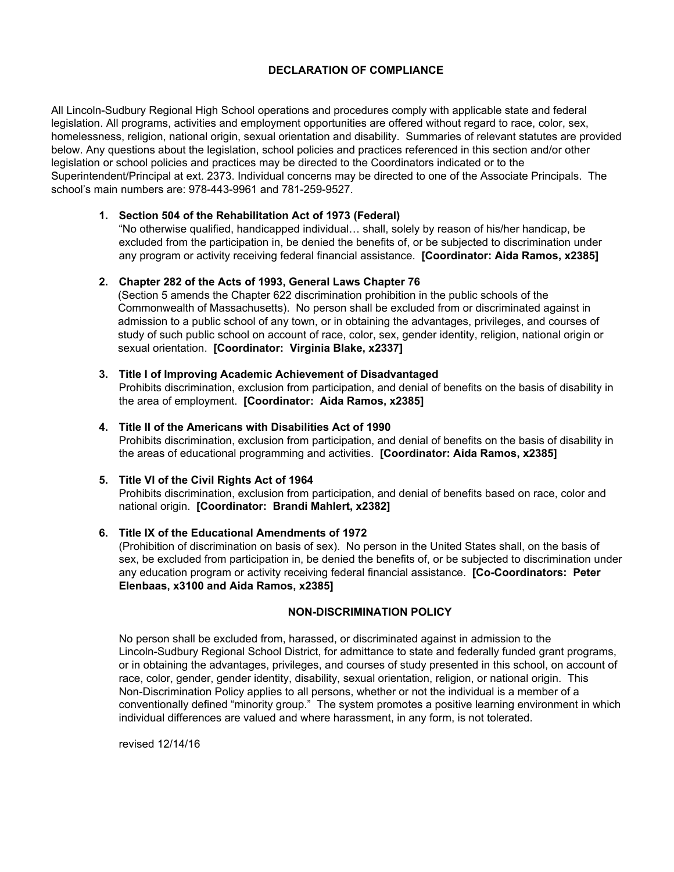# **DECLARATION OF COMPLIANCE**

All Lincoln-Sudbury Regional High School operations and procedures comply with applicable state and federal legislation. All programs, activities and employment opportunities are offered without regard to race, color, sex, homelessness, religion, national origin, sexual orientation and disability. Summaries of relevant statutes are provided below. Any questions about the legislation, school policies and practices referenced in this section and/or other legislation or school policies and practices may be directed to the Coordinators indicated or to the Superintendent/Principal at ext. 2373. Individual concerns may be directed to one of the Associate Principals. The school's main numbers are: 978-443-9961 and 781-259-9527.

# **1. Section 504 of the Rehabilitation Act of 1973 (Federal)**

"No otherwise qualified, handicapped individual… shall, solely by reason of his/her handicap, be excluded from the participation in, be denied the benefits of, or be subjected to discrimination under any program or activity receiving federal financial assistance. **[Coordinator: Aida Ramos, x2385]**

## **2. Chapter 282 of the Acts of 1993, General Laws Chapter 76**

(Section 5 amends the Chapter 622 discrimination prohibition in the public schools of the Commonwealth of Massachusetts). No person shall be excluded from or discriminated against in admission to a public school of any town, or in obtaining the advantages, privileges, and courses of study of such public school on account of race, color, sex, gender identity, religion, national origin or sexual orientation. **[Coordinator: Virginia Blake, x2337]**

**3. Title I of Improving Academic Achievement of Disadvantaged**

Prohibits discrimination, exclusion from participation, and denial of benefits on the basis of disability in the area of employment. **[Coordinator: Aida Ramos, x2385]**

#### **4. Title II of the Americans with Disabilities Act of 1990**

Prohibits discrimination, exclusion from participation, and denial of benefits on the basis of disability in the areas of educational programming and activities. **[Coordinator: Aida Ramos, x2385]**

#### **5. Title VI of the Civil Rights Act of 1964**

Prohibits discrimination, exclusion from participation, and denial of benefits based on race, color and national origin. **[Coordinator: Brandi Mahlert, x2382]**

### **6. Title IX of the Educational Amendments of 1972**

(Prohibition of discrimination on basis of sex). No person in the United States shall, on the basis of sex, be excluded from participation in, be denied the benefits of, or be subjected to discrimination under any education program or activity receiving federal financial assistance. **[Co-Coordinators: Peter Elenbaas, x3100 and Aida Ramos, x2385]**

### **NON-DISCRIMINATION POLICY**

No person shall be excluded from, harassed, or discriminated against in admission to the Lincoln-Sudbury Regional School District, for admittance to state and federally funded grant programs, or in obtaining the advantages, privileges, and courses of study presented in this school, on account of race, color, gender, gender identity, disability, sexual orientation, religion, or national origin. This Non-Discrimination Policy applies to all persons, whether or not the individual is a member of a conventionally defined "minority group." The system promotes a positive learning environment in which individual differences are valued and where harassment, in any form, is not tolerated.

revised 12/14/16